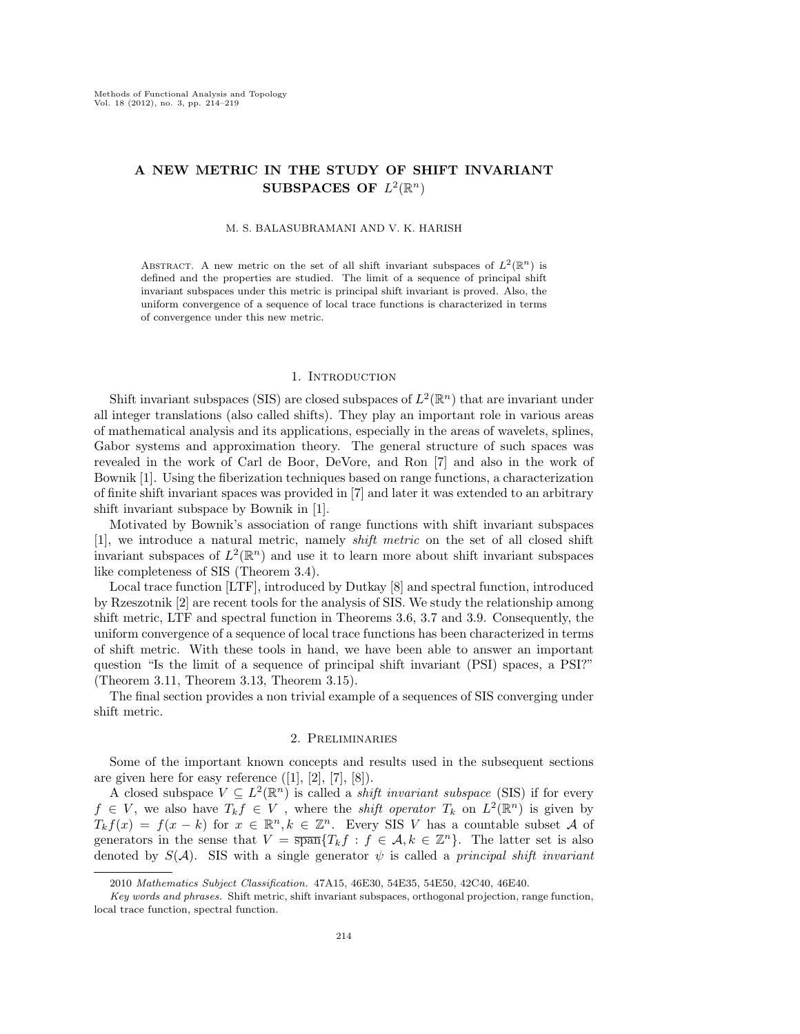# A NEW METRIC IN THE STUDY OF SHIFT INVARIANT SUBSPACES OF  $L^2(\mathbb{R}^n)$

#### M. S. BALASUBRAMANI AND V. K. HARISH

ABSTRACT. A new metric on the set of all shift invariant subspaces of  $L^2(\mathbb{R}^n)$  is defined and the properties are studied. The limit of a sequence of principal shift invariant subspaces under this metric is principal shift invariant is proved. Also, the uniform convergence of a sequence of local trace functions is characterized in terms of convergence under this new metric.

### 1. INTRODUCTION

Shift invariant subspaces (SIS) are closed subspaces of  $L^2(\mathbb{R}^n)$  that are invariant under all integer translations (also called shifts). They play an important role in various areas of mathematical analysis and its applications, especially in the areas of wavelets, splines, Gabor systems and approximation theory. The general structure of such spaces was revealed in the work of Carl de Boor, DeVore, and Ron [7] and also in the work of Bownik [1]. Using the fiberization techniques based on range functions, a characterization of finite shift invariant spaces was provided in [7] and later it was extended to an arbitrary shift invariant subspace by Bownik in [1].

Motivated by Bownik's association of range functions with shift invariant subspaces [1], we introduce a natural metric, namely shift metric on the set of all closed shift invariant subspaces of  $L^2(\mathbb{R}^n)$  and use it to learn more about shift invariant subspaces like completeness of SIS (Theorem 3.4).

Local trace function [LTF], introduced by Dutkay [8] and spectral function, introduced by Rzeszotnik [2] are recent tools for the analysis of SIS. We study the relationship among shift metric, LTF and spectral function in Theorems 3.6, 3.7 and 3.9. Consequently, the uniform convergence of a sequence of local trace functions has been characterized in terms of shift metric. With these tools in hand, we have been able to answer an important question "Is the limit of a sequence of principal shift invariant (PSI) spaces, a PSI?" (Theorem 3.11, Theorem 3.13, Theorem 3.15).

The final section provides a non trivial example of a sequences of SIS converging under shift metric.

#### 2. Preliminaries

Some of the important known concepts and results used in the subsequent sections are given here for easy reference  $([1], [2], [7], [8])$ .

A closed subspace  $V \subseteq L^2(\mathbb{R}^n)$  is called a *shift invariant subspace* (SIS) if for every  $f \in V$ , we also have  $T_k f \in V$ , where the *shift operator*  $T_k$  on  $L^2(\mathbb{R}^n)$  is given by  $T_k f(x) = f(x - k)$  for  $x \in \mathbb{R}^n, k \in \mathbb{Z}^n$ . Every SIS V has a countable subset A of generators in the sense that  $V = \overline{\operatorname{span}}\{T_k f : f \in \mathcal{A}, k \in \mathbb{Z}^n\}$ . The latter set is also denoted by  $S(\mathcal{A})$ . SIS with a single generator  $\psi$  is called a *principal shift invariant* 

<sup>2010</sup> *Mathematics Subject Classification.* 47A15, 46E30, 54E35, 54E50, 42C40, 46E40.

*Key words and phrases.* Shift metric, shift invariant subspaces, orthogonal projection, range function, local trace function, spectral function.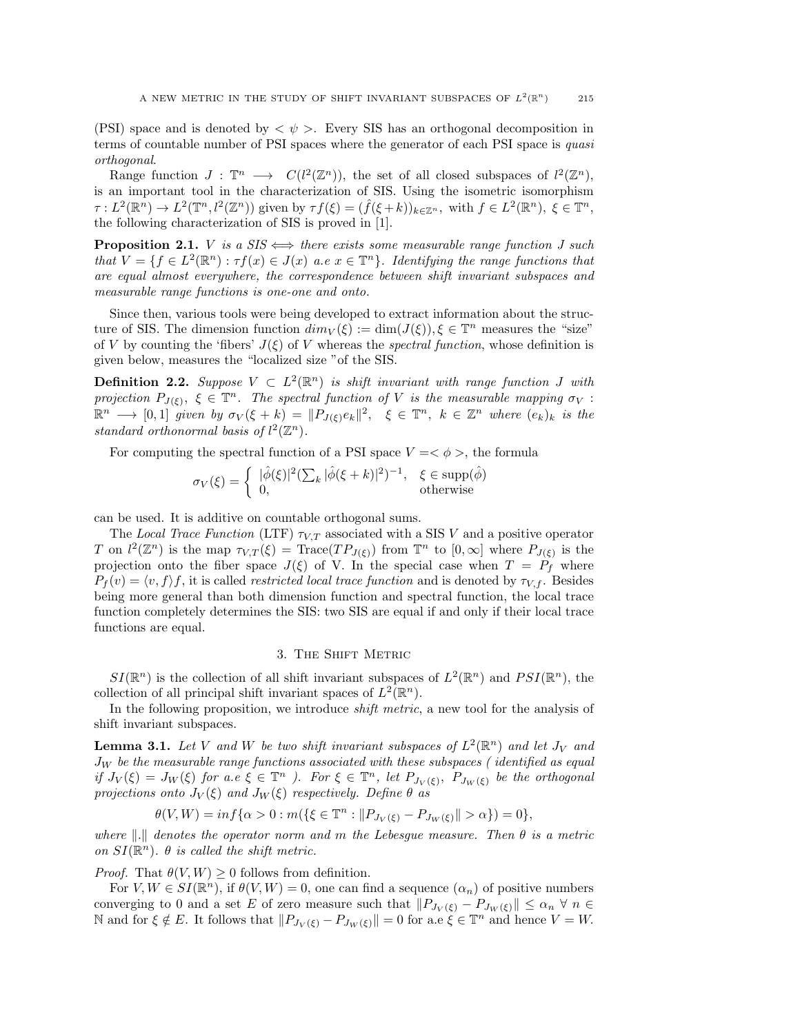(PSI) space and is denoted by  $\langle \psi \rangle$ . Every SIS has an orthogonal decomposition in terms of countable number of PSI spaces where the generator of each PSI space is quasi orthogonal.

Range function  $J : \mathbb{T}^n \longrightarrow C(l^2(\mathbb{Z}^n))$ , the set of all closed subspaces of  $l^2(\mathbb{Z}^n)$ , is an important tool in the characterization of SIS. Using the isometric isomorphism  $\tau: L^2(\mathbb{R}^n) \to L^2(\mathbb{T}^n, l^2(\mathbb{Z}^n))$  given by  $\tau f(\xi) = (\hat{f}(\xi + k))_{k \in \mathbb{Z}^n}$ , with  $f \in L^2(\mathbb{R}^n)$ ,  $\xi \in \mathbb{T}^n$ , the following characterization of SIS is proved in [1].

**Proposition 2.1.** *V* is a  $SIS \iff$  there exists some measurable range function J such that  $V = \{f \in L^2(\mathbb{R}^n) : \tau f(x) \in J(x) \text{ a.e } x \in \mathbb{T}^n\}$ . Identifying the range functions that are equal almost everywhere, the correspondence between shift invariant subspaces and measurable range functions is one-one and onto.

Since then, various tools were being developed to extract information about the structure of SIS. The dimension function  $dim_V(\xi) := dim(J(\xi)), \xi \in \mathbb{T}^n$  measures the "size" of V by counting the 'fibers'  $J(\xi)$  of V whereas the spectral function, whose definition is given below, measures the "localized size "of the SIS.

**Definition 2.2.** Suppose  $V \subset L^2(\mathbb{R}^n)$  is shift invariant with range function J with projection  $P_{J(\xi)}$ ,  $\xi \in \mathbb{T}^n$ . The spectral function of V is the measurable mapping  $\sigma_V$ :  $\mathbb{R}^n \longrightarrow [0,1]$  given by  $\sigma_V(\xi + k) = ||P_{J(\xi)}e_k||^2$ ,  $\xi \in \mathbb{T}^n$ ,  $k \in \mathbb{Z}^n$  where  $(e_k)_k$  is the standard orthonormal basis of  $l^2(\mathbb{Z}^n)$ .

For computing the spectral function of a PSI space  $V = \langle \phi \rangle$ , the formula

$$
\sigma_V(\xi) = \begin{cases} |\hat{\phi}(\xi)|^2 (\sum_k |\hat{\phi}(\xi + k)|^2)^{-1}, & \xi \in \text{supp}(\hat{\phi})\\ 0, & \text{otherwise} \end{cases}
$$

can be used. It is additive on countable orthogonal sums.

The Local Trace Function (LTF)  $\tau_{V,T}$  associated with a SIS V and a positive operator T on  $l^2(\mathbb{Z}^n)$  is the map  $\tau_{V,T}(\xi) = \text{Trace}(TP_{J(\xi)})$  from  $\mathbb{T}^n$  to  $[0,\infty]$  where  $P_{J(\xi)}$  is the projection onto the fiber space  $J(\xi)$  of V. In the special case when  $T = P_f$  where  $P_f(v) = \langle v, f \rangle f$ , it is called *restricted local trace function* and is denoted by  $\tau_{V,f}$ . Besides being more general than both dimension function and spectral function, the local trace function completely determines the SIS: two SIS are equal if and only if their local trace functions are equal.

### 3. The Shift Metric

 $SI(\mathbb{R}^n)$  is the collection of all shift invariant subspaces of  $L^2(\mathbb{R}^n)$  and  $PSI(\mathbb{R}^n)$ , the collection of all principal shift invariant spaces of  $L^2(\mathbb{R}^n)$ .

In the following proposition, we introduce *shift metric*, a new tool for the analysis of shift invariant subspaces.

**Lemma 3.1.** Let V and W be two shift invariant subspaces of  $L^2(\mathbb{R}^n)$  and let  $J_V$  and  $J_W$  be the measurable range functions associated with these subspaces (identified as equal if  $J_V(\xi) = J_W(\xi)$  for a.e  $\xi \in \mathbb{T}^n$ . For  $\xi \in \mathbb{T}^n$ , let  $P_{J_V(\xi)}$ ,  $P_{J_W(\xi)}$  be the orthogonal projections onto  $J_V(\xi)$  and  $J_W(\xi)$  respectively. Define  $\theta$  as

$$
\theta(V,W) = \inf \{ \alpha > 0 : m(\{\xi \in \mathbb{T}^n : ||P_{J_V(\xi)} - P_{J_W(\xi)}|| > \alpha \}) = 0 \},
$$

where  $\|.\|$  denotes the operator norm and m the Lebesgue measure. Then  $\theta$  is a metric on  $SI(\mathbb{R}^n)$ .  $\theta$  is called the shift metric.

*Proof.* That  $\theta(V, W) \geq 0$  follows from definition.

For  $V, W \in SI(\mathbb{R}^n)$ , if  $\theta(V, W) = 0$ , one can find a sequence  $(\alpha_n)$  of positive numbers converging to 0 and a set E of zero measure such that  $||P_{J_V(\xi)} - P_{J_W(\xi)}|| \leq \alpha_n \forall n \in \mathbb{N}$ N and for  $\xi \notin E$ . It follows that  $||P_{J_V(\xi)} - P_{J_W(\xi)}|| = 0$  for a.e  $\xi \in \mathbb{T}^n$  and hence  $V = W$ .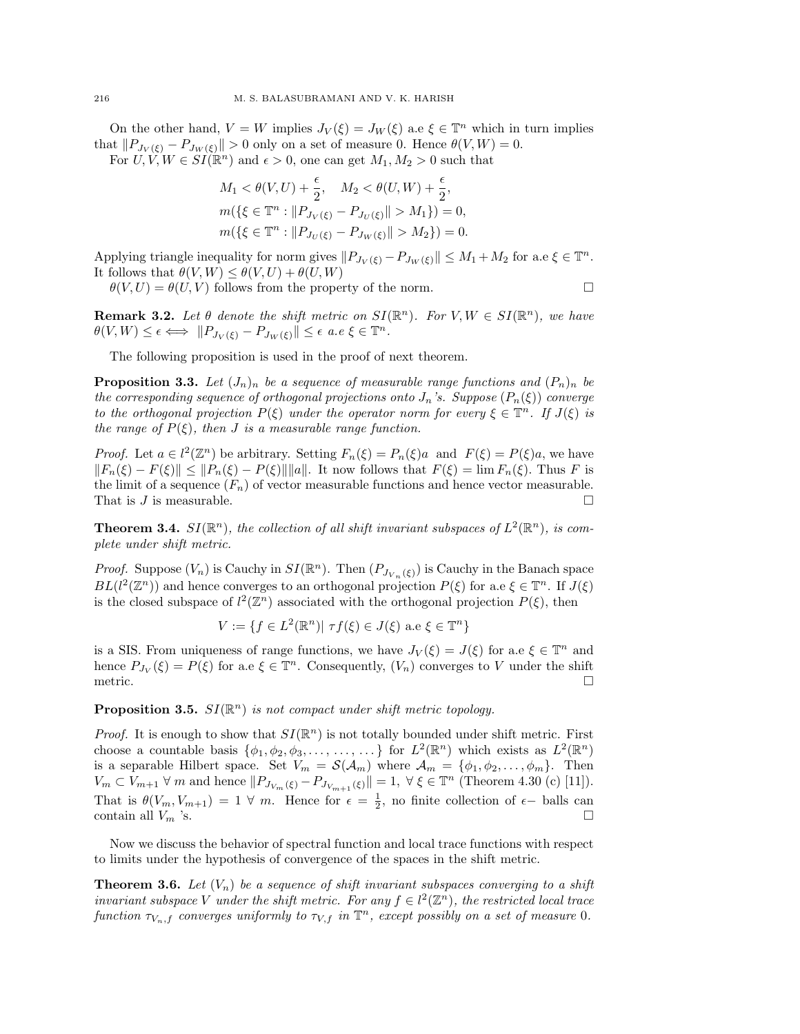On the other hand,  $V = W$  implies  $J_V(\xi) = J_W(\xi)$  a.e  $\xi \in \mathbb{T}^n$  which in turn implies that  $||P_{J_V(\xi)} - P_{J_W(\xi)}|| > 0$  only on a set of measure 0. Hence  $\theta(V, W) = 0$ . For  $U, V, W \in SI(\mathbb{R}^n)$  and  $\epsilon > 0$ , one can get  $M_1, M_2 > 0$  such that

$$
M_1 < \theta(V, U) + \frac{\epsilon}{2}, \quad M_2 < \theta(U, W) + \frac{\epsilon}{2},
$$
\n
$$
m(\{\xi \in \mathbb{T}^n : \|P_{J_V(\xi)} - P_{J_U(\xi)}\| > M_1\}) = 0,
$$
\n
$$
m(\{\xi \in \mathbb{T}^n : \|P_{J_U(\xi)} - P_{J_W(\xi)}\| > M_2\}) = 0.
$$

Applying triangle inequality for norm gives  $||P_{J_V(\xi)} - P_{J_W(\xi)}|| \leq M_1 + M_2$  for a.e  $\xi \in \mathbb{T}^n$ . It follows that  $\theta(V, W) \leq \theta(V, U) + \theta(U, W)$ 

 $\theta(V, U) = \theta(U, V)$  follows from the property of the norm.

**Remark 3.2.** Let  $\theta$  denote the shift metric on  $SI(\mathbb{R}^n)$ . For  $V, W \in SI(\mathbb{R}^n)$ , we have  $\theta(V,W) \leq \epsilon \Longleftrightarrow \|P_{J_V(\xi)} - P_{J_W(\xi)}\| \leq \epsilon \, a.e \, \xi \in \mathbb{T}^n.$ 

The following proposition is used in the proof of next theorem.

**Proposition 3.3.** Let  $(J_n)_n$  be a sequence of measurable range functions and  $(P_n)_n$  be the corresponding sequence of orthogonal projections onto  $J_n$ 's. Suppose  $(P_n(\xi))$  converge to the orthogonal projection  $P(\xi)$  under the operator norm for every  $\xi \in \mathbb{T}^n$ . If  $J(\xi)$  is the range of  $P(\xi)$ , then J is a measurable range function.

*Proof.* Let  $a \in l^2(\mathbb{Z}^n)$  be arbitrary. Setting  $F_n(\xi) = P_n(\xi)a$  and  $F(\xi) = P(\xi)a$ , we have  $||F_n(\xi) - F(\xi)|| \leq ||P_n(\xi) - P(\xi)|| ||a||$ . It now follows that  $F(\xi) = \lim F_n(\xi)$ . Thus F is the limit of a sequence  $(F_n)$  of vector measurable functions and hence vector measurable. That is  $J$  is measurable.

**Theorem 3.4.**  $SI(\mathbb{R}^n)$ , the collection of all shift invariant subspaces of  $L^2(\mathbb{R}^n)$ , is complete under shift metric.

*Proof.* Suppose  $(V_n)$  is Cauchy in  $SI(\mathbb{R}^n)$ . Then  $(P_{J_{V_n}(\xi)})$  is Cauchy in the Banach space  $BL(l^2(\mathbb{Z}^n))$  and hence converges to an orthogonal projection  $P(\xi)$  for a.e  $\xi \in \mathbb{T}^n$ . If  $J(\xi)$ is the closed subspace of  $l^2(\mathbb{Z}^n)$  associated with the orthogonal projection  $P(\xi)$ , then

$$
V := \{ f \in L^2(\mathbb{R}^n) | \tau f(\xi) \in J(\xi) \text{ a.e } \xi \in \mathbb{T}^n \}
$$

is a SIS. From uniqueness of range functions, we have  $J_V(\xi) = J(\xi)$  for a.e  $\xi \in \mathbb{T}^n$  and hence  $P_{J_V}(\xi) = P(\xi)$  for a.e  $\xi \in \mathbb{T}^n$ . Consequently,  $(V_n)$  converges to V under the shift metric.  $\Box$ 

## **Proposition 3.5.**  $SI(\mathbb{R}^n)$  is not compact under shift metric topology.

*Proof.* It is enough to show that  $SI(\mathbb{R}^n)$  is not totally bounded under shift metric. First choose a countable basis  $\{\phi_1, \phi_2, \phi_3, \ldots, \ldots, \ldots\}$  for  $L^2(\mathbb{R}^n)$  which exists as  $L^2(\mathbb{R}^n)$ is a separable Hilbert space. Set  $V_m = \mathcal{S}(\mathcal{A}_m)$  where  $\mathcal{A}_m = {\phi_1, \phi_2, \dots, \phi_m}$ . Then  $V_m \subset V_{m+1} \ \forall \ m \text{ and hence } ||P_{J_{V_m}(\xi)} - P_{J_{V_{m+1}}(\xi)}|| = 1, \ \forall \ \xi \in \mathbb{T}^n \$  (Theorem 4.30 (c) [11]). That is  $\theta(V_m, V_{m+1}) = 1 \ \forall \ m$ . Hence for  $\epsilon = \frac{1}{2}$ , no finite collection of  $\epsilon$ - balls can contain all  $V_m$  's.

Now we discuss the behavior of spectral function and local trace functions with respect to limits under the hypothesis of convergence of the spaces in the shift metric.

**Theorem 3.6.** Let  $(V_n)$  be a sequence of shift invariant subspaces converging to a shift invariant subspace V under the shift metric. For any  $f \in l^2(\mathbb{Z}^n)$ , the restricted local trace function  $\tau_{V_n,f}$  converges uniformly to  $\tau_{V,f}$  in  $\mathbb{T}^n$ , except possibly on a set of measure 0.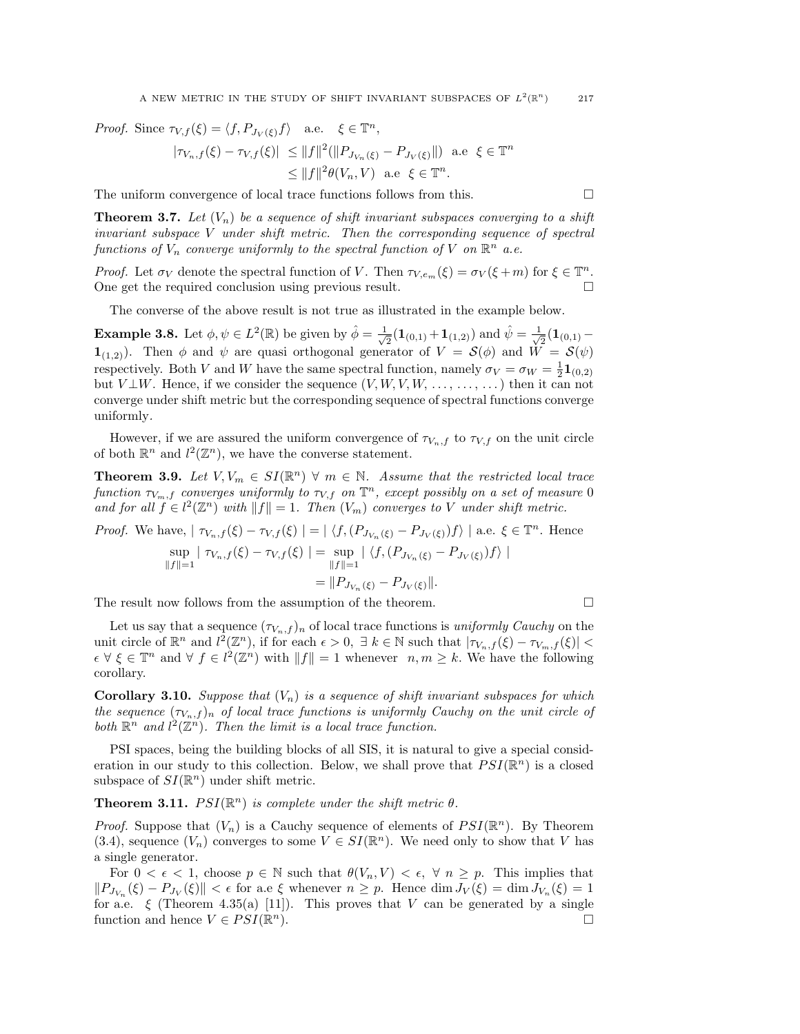Proof. Since  $\tau_{V,f}(\xi) = \langle f, P_{J_V(\xi)}f \rangle$  a.e.  $\xi \in \mathbb{T}^n$ ,  $|\tau_{V_n,f}(\xi)-\tau_{V,f}(\xi)| \ \leq \|f\|^2 (\|P_{J_{V_n}(\xi)}-P_{J_{V}(\xi)}\|) \ \ \text{a.e} \ \ \xi \in \mathbb{T}^n$  $\leq ||f||^2 \theta(V_n, V)$  a.e  $\xi \in \mathbb{T}^n$ .

The uniform convergence of local trace functions follows from this.  $\Box$ 

**Theorem 3.7.** Let  $(V_n)$  be a sequence of shift invariant subspaces converging to a shift invariant subspace V under shift metric. Then the corresponding sequence of spectral functions of  $V_n$  converge uniformly to the spectral function of V on  $\mathbb{R}^n$  a.e.

*Proof.* Let  $\sigma_V$  denote the spectral function of V. Then  $\tau_{V,e_m}(\xi) = \sigma_V(\xi + m)$  for  $\xi \in \mathbb{T}^n$ . One get the required conclusion using previous result.

The converse of the above result is not true as illustrated in the example below.

**Example 3.8.** Let  $\phi, \psi \in L^2(\mathbb{R})$  be given by  $\hat{\phi} = \frac{1}{\sqrt{\phi}}$  $\frac{1}{2}(\mathbf{1}_{(0,1)} + \mathbf{1}_{(1,2)})$  and  $\hat{\psi} = \frac{1}{\sqrt{2}}$  $\overline{\overline{2}}(\mathbf{1}_{(0,1)} 1_{(1,2)}$ ). Then  $\phi$  and  $\psi$  are quasi orthogonal generator of  $V = \mathcal{S}(\phi)$  and  $W = \mathcal{S}(\psi)$ respectively. Both V and W have the same spectral function, namely  $\sigma_V = \sigma_W = \frac{1}{2} \mathbf{1}_{(0,2)}$ but  $V \perp W$ . Hence, if we consider the sequence  $(V, W, V, W, \ldots, \ldots)$  then it can not converge under shift metric but the corresponding sequence of spectral functions converge uniformly.

However, if we are assured the uniform convergence of  $\tau_{V_n,f}$  to  $\tau_{V,f}$  on the unit circle of both  $\mathbb{R}^n$  and  $l^2(\mathbb{Z}^n)$ , we have the converse statement.

**Theorem 3.9.** Let  $V, V_m \in SI(\mathbb{R}^n)$   $\forall m \in \mathbb{N}$ . Assume that the restricted local trace function  $\tau_{V_m,f}$  converges uniformly to  $\tau_{V,f}$  on  $\mathbb{T}^n$ , except possibly on a set of measure 0 and for all  $f \in l^2(\mathbb{Z}^n)$  with  $||f|| = 1$ . Then  $(V_m)$  converges to V under shift metric.

*Proof.* We have,  $|\tau_{V_n,f}(\xi) - \tau_{V,f}(\xi)| = |\langle f, (P_{J_{V_n}(\xi)} - P_{J_V(\xi)})f \rangle|$  a.e.  $\xi \in \mathbb{T}^n$ . Hence

$$
\sup_{\|f\|=1} |\tau_{V_n,f}(\xi) - \tau_{V,f}(\xi)| = \sup_{\|f\|=1} |\langle f, (P_{J_{V_n}(\xi)} - P_{J_V(\xi)})f \rangle|
$$
  
=  $||P_{J_{V_n}(\xi)} - P_{J_V(\xi)}||.$ 

The result now follows from the assumption of the theorem.  $\Box$ 

Let us say that a sequence  $(\tau_{V_n,f})_n$  of local trace functions is *uniformly Cauchy* on the unit circle of  $\mathbb{R}^n$  and  $l^2(\mathbb{Z}^n)$ , if for each  $\epsilon > 0$ ,  $\exists k \in \mathbb{N}$  such that  $|\tau_{V_n,f}(\xi) - \tau_{V_m,f}(\xi)|$  $\epsilon \,\forall \,\xi \in \mathbb{T}^n$  and  $\forall f \in l^2(\mathbb{Z}^n)$  with  $||f|| = 1$  whenever  $n, m \geq k$ . We have the following corollary.

**Corollary 3.10.** Suppose that  $(V_n)$  is a sequence of shift invariant subspaces for which the sequence  $(\tau_{V_n,f})_n$  of local trace functions is uniformly Cauchy on the unit circle of both  $\mathbb{R}^n$  and  $l^2(\mathbb{Z}^n)$ . Then the limit is a local trace function.

PSI spaces, being the building blocks of all SIS, it is natural to give a special consideration in our study to this collection. Below, we shall prove that  $PSI(\mathbb{R}^n)$  is a closed subspace of  $SI(\mathbb{R}^n)$  under shift metric.

**Theorem 3.11.**  $PSI(\mathbb{R}^n)$  is complete under the shift metric  $\theta$ .

*Proof.* Suppose that  $(V_n)$  is a Cauchy sequence of elements of  $PSI(\mathbb{R}^n)$ . By Theorem (3.4), sequence  $(V_n)$  converges to some  $V \in SI(\mathbb{R}^n)$ . We need only to show that V has a single generator.

For  $0 < \epsilon < 1$ , choose  $p \in \mathbb{N}$  such that  $\theta(V_n, V) < \epsilon$ ,  $\forall n \geq p$ . This implies that  $||P_{J_{V_n}}(\xi) - P_{J_V}(\xi)|| < \epsilon$  for a.e  $\xi$  whenever  $n \geq p$ . Hence  $\dim J_V(\xi) = \dim J_{V_n}(\xi) = 1$ for a.e.  $\xi$  (Theorem 4.35(a) [11]). This proves that V can be generated by a single function and hence  $V \in PSI(\mathbb{R}^n)$ .  $\Box$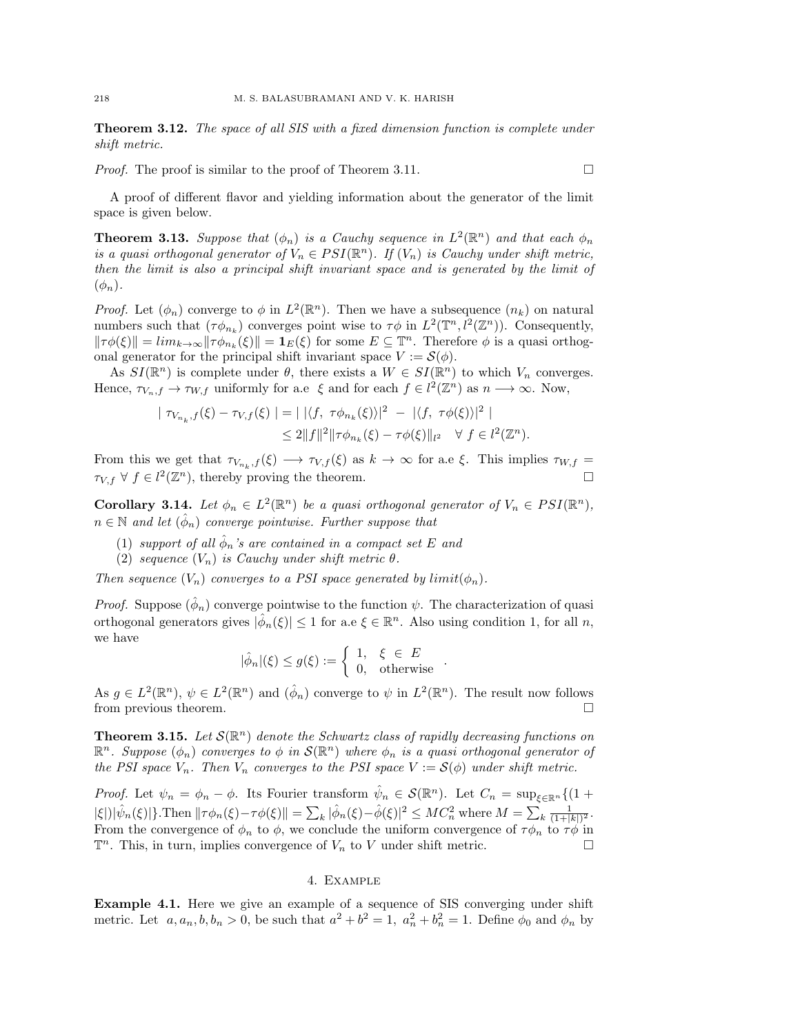**Theorem 3.12.** The space of all SIS with a fixed dimension function is complete under shift metric.

*Proof.* The proof is similar to the proof of Theorem 3.11.

A proof of different flavor and yielding information about the generator of the limit space is given below.

**Theorem 3.13.** Suppose that  $(\phi_n)$  is a Cauchy sequence in  $L^2(\mathbb{R}^n)$  and that each  $\phi_n$ is a quasi orthogonal generator of  $V_n \in PSI(\mathbb{R}^n)$ . If  $(V_n)$  is Cauchy under shift metric, then the limit is also a principal shift invariant space and is generated by the limit of  $(\phi_n)$ .

*Proof.* Let  $(\phi_n)$  converge to  $\phi$  in  $L^2(\mathbb{R}^n)$ . Then we have a subsequence  $(n_k)$  on natural numbers such that  $(\tau \phi_{n_k})$  converges point wise to  $\tau \phi$  in  $L^2(\mathbb{T}^n, l^2(\mathbb{Z}^n))$ . Consequently,  $\|\tau\phi(\xi)\| = \lim_{k \to \infty} \|\tau\phi_{n_k}(\xi)\| = \mathbf{1}_E(\xi)$  for some  $E \subseteq \mathbb{T}^n$ . Therefore  $\phi$  is a quasi orthogonal generator for the principal shift invariant space  $V := \mathcal{S}(\phi)$ .

As  $SI(\mathbb{R}^n)$  is complete under  $\theta$ , there exists a  $W \in SI(\mathbb{R}^n)$  to which  $V_n$  converges. Hence,  $\tau_{V_n,f} \to \tau_{W,f}$  uniformly for a.e  $\xi$  and for each  $f \in l^2(\mathbb{Z}^n)$  as  $n \to \infty$ . Now,

$$
|\tau_{V_{n_k},f}(\xi) - \tau_{V,f}(\xi)| = | |\langle f, \tau \phi_{n_k}(\xi) \rangle|^2 - |\langle f, \tau \phi(\xi) \rangle|^2 |
$$
  

$$
\leq 2||f||^2 ||\tau \phi_{n_k}(\xi) - \tau \phi(\xi)||_{l^2} \quad \forall \ f \in l^2(\mathbb{Z}^n).
$$

From this we get that  $\tau_{V_{n_k},f}(\xi) \to \tau_{V,f}(\xi)$  as  $k \to \infty$  for a.e  $\xi$ . This implies  $\tau_{W,f} =$  $\tau_{V,f}$   $\forall$   $f \in l^2(\mathbb{Z}^n)$ , thereby proving the theorem.

**Corollary 3.14.** Let  $\phi_n \in L^2(\mathbb{R}^n)$  be a quasi orthogonal generator of  $V_n \in PSI(\mathbb{R}^n)$ ,  $n \in \mathbb{N}$  and let  $(\hat{\phi}_n)$  converge pointwise. Further suppose that

- (1) support of all  $\hat{\phi}_n$ 's are contained in a compact set E and
- (2) sequence  $(V_n)$  is Cauchy under shift metric  $\theta$ .

Then sequence  $(V_n)$  converges to a PSI space generated by  $limit(\phi_n)$ .

*Proof.* Suppose  $(\hat{\phi}_n)$  converge pointwise to the function  $\psi$ . The characterization of quasi orthogonal generators gives  $|\hat{\phi}_n(\xi)| \leq 1$  for a.e  $\xi \in \mathbb{R}^n$ . Also using condition 1, for all n, we have

$$
|\hat{\phi}_n|(\xi) \le g(\xi) := \begin{cases} 1, & \xi \in E \\ 0, & \text{otherwise} \end{cases}.
$$

As  $g \in L^2(\mathbb{R}^n)$ ,  $\psi \in L^2(\mathbb{R}^n)$  and  $(\hat{\phi}_n)$  converge to  $\psi$  in  $L^2(\mathbb{R}^n)$ . The result now follows from previous theorem.

**Theorem 3.15.** Let  $\mathcal{S}(\mathbb{R}^n)$  denote the Schwartz class of rapidly decreasing functions on  $\mathbb{R}^n$ . Suppose  $(\phi_n)$  converges to  $\phi$  in  $\mathcal{S}(\mathbb{R}^n)$  where  $\phi_n$  is a quasi orthogonal generator of the PSI space  $V_n$ . Then  $V_n$  converges to the PSI space  $V := \mathcal{S}(\phi)$  under shift metric.

Proof. Let  $\psi_n = \phi_n - \phi$ . Its Fourier transform  $\hat{\psi}_n \in \mathcal{S}(\mathbb{R}^n)$ . Let  $C_n = \sup_{\xi \in \mathbb{R}^n} \{ (1 + \xi_n)^2 \}$  $|\xi| \, |\hat{\psi}_n(\xi)| \}.$  Then  $\|\tau \phi_n(\xi) - \tau \phi(\xi)\| = \sum_k |\hat{\phi}_n(\xi) - \hat{\phi}(\xi)|^2 \leq MC_n^2$  where  $M = \sum_k \frac{1}{(1+|k|)^2}$ . From the convergence of  $\phi_n$  to  $\phi$ , we conclude the uniform convergence of  $\tau\phi_n$  to  $\tau\phi$  in  $\mathbb{T}^n$ . This, in turn, implies convergence of  $V_n$  to V under shift metric.

### 4. Example

Example 4.1. Here we give an example of a sequence of SIS converging under shift metric. Let  $a, a_n, b, b_n > 0$ , be such that  $a^2 + b^2 = 1$ ,  $a_n^2 + b_n^2 = 1$ . Define  $\phi_0$  and  $\phi_n$  by